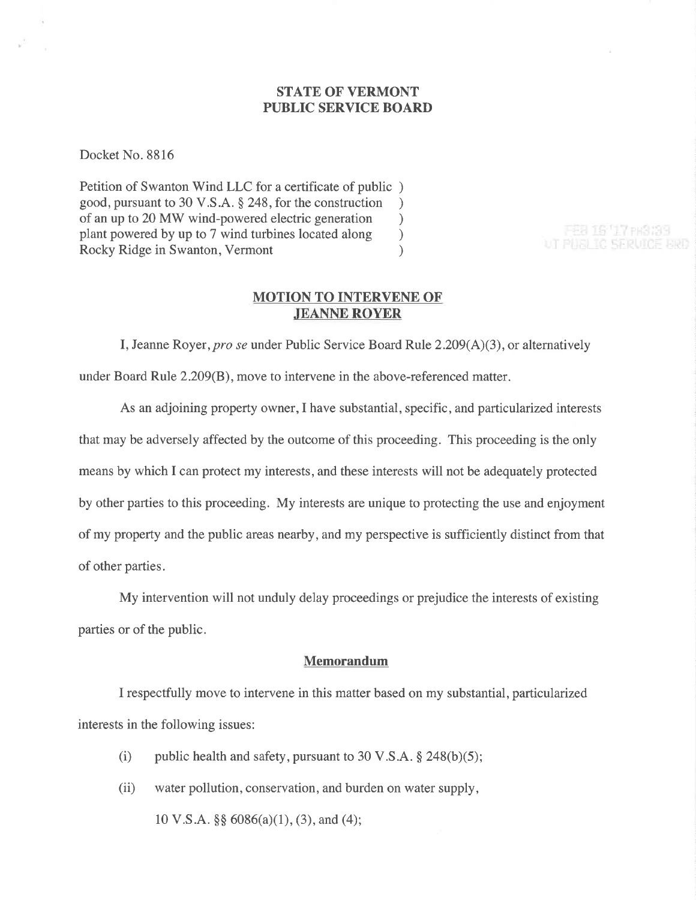## STATE OF VERMONT PUBLIC SERVICE BOARD

Docket No. 8816

Petition of Swanton Wind LLC for a certificate of public ) good, pursuant to 30 V.S.A. \$ 248, for the construction ) of an up to 20 MW wind-powered electric generation<br>plant powered by up to 7 wind turbines located along (b) plant powered by up to 7 wind turbines located along ) Rocky Ridge in Swanton, Vermont (1988)

#### FEB 16 '17 PH3 29 UT PUBLIC SERVICE FIRE

#### MOTION TO INTERVENE OF .IEANNE ROYER

I, Jeanne Royer, pro se under Public Service Board Rule  $2.209(A)(3)$ , or alternatively under Board Rule 2.209(B), move to intervene in the above-referenced matter.

As an adjoining property owner,I have substantial, specific, and particularized interests that may be adversely affected by the outcome of this proceeding. This proceeding is the only means by which I can protect my interests, and these interests will not be adequately protected by other parties to this proceeding. My interests are unique to protecting the use and enjoyment of my property and the public areas nearby, and my perspective is sufficiently distinct from that of other parties.

My intervention will not unduly delay proceedings or prejudice the interests of existing parties or of the public.

#### Memorandum

I respectfully move to intervene in this matter based on my substantial, particularized interests in the following issues:

- (i) public health and safety, pursuant to 30 V.S.A.  $\S$  248(b)(5);
- (ii) water pollution, conservation, and burden on water supply, 10 V.S.A. \$\$ 6086(a)(1), (3), and (4);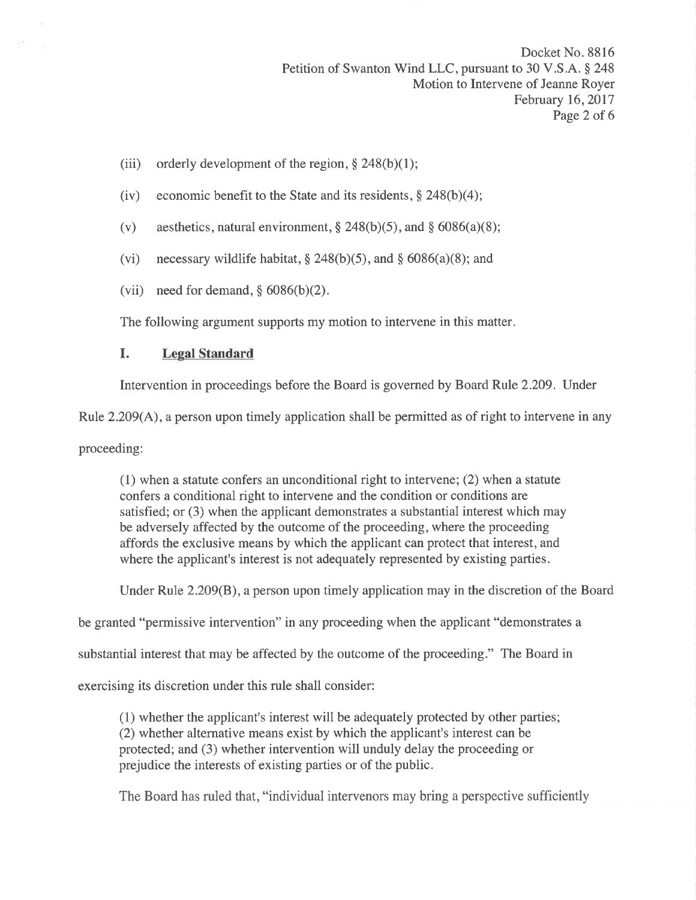- (iii) orderly development of the region,  $\S$  248(b)(1);
- (iv) economic benefit to the State and its residents,  $\S$  248(b)(4);
- (v) aesthetics, natural environment,  $\S 248(b)(5)$ , and  $\S 6086(a)(8)$ ;
- (vi) necessary wildlife habitat,  $\S 248(b)(5)$ , and  $\S 6086(a)(8)$ ; and
- (vii) need for demand,  $§$  6086(b)(2).

The following argument supports my motion to intervene in this matter.

## I. Legal Standard

Intervention in proceedings before the Board is governed by Board Rule 2.209. Under

Rule 2.209(A), a person upon timely application shall be permitted as of right to intervene in any

proceeding:

(1) when a statute confers an unconditional right to intervene; (2) when a statute confers a conditional right to intervene and the condition or conditions are satisfied; or (3) when the applicant demonstrates a substantial interest which may be adversely affected by the outcome of the proceeding, where the proceeding affords the exclusive means by which the applicant can protect that interest, and where the applicant's interest is not adequately represented by existing parties.

Under Rule 2.209(B), a person upon timely application may in the discretion of the Board

be granted "permissive intervention" in any proceeding when the applicant "demonstrates a

substantial interest that may be affected by the outcome of the proceeding." The Board in

exercising its discretion under this rule shall consider:

(1) whether the applicant's interest will be adequately protected by other parties; (2) whether alternative means exist by which the applicant's interest can be protected; and (3) whether intervention will unduly delay the proceeding or prejudice the interests of existing parties or of the public.

The Board has ruled that, "individual intervenors may bring a perspective sufficiently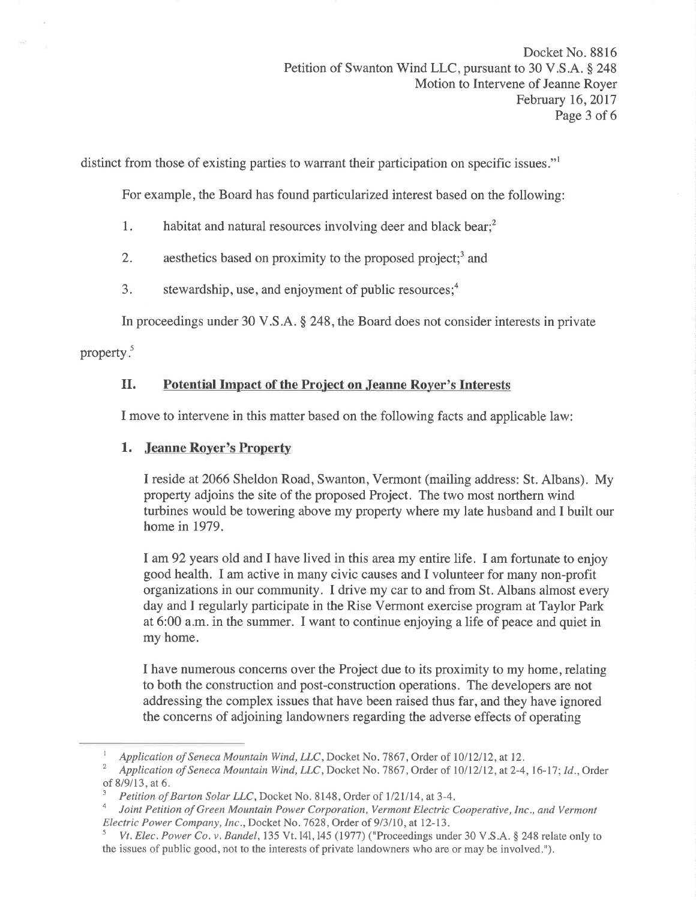distinct from those of existing parties to warrant their participation on specific issues."<sup>1</sup>

For example, the Board has found particularized interest based on the following:

- 1. habitat and natural resources involving deer and black bear.<sup>2</sup>
- 2. aesthetics based on proximity to the proposed project;<sup>3</sup> and
- 3. stewardship, use, and enjoyment of public resources; $<sup>4</sup>$ </sup>

In proceedings under 30 V.S.A. \$ 248, the Board does not consider interests in private

property $<sub>5</sub>$ </sub>

# II. Potential Impact of the Project on Jeanne Royer's Interests

I move to intervene in this matter based on the following facts and applicable law:

# 1. Jeanne Royer's Property

I reside at2066 Sheldon Road, Swanton, Vermont (mailing address: St. Albans). My property adjoins the site of the proposed Project. The two most northern wind turbines would be towering above my property where my late husband and I built our home in 1979.

I am92 years old and I have lived in this area my entire life. I am fortunate to enjoy good health. I am active in many civic causes and I volunteer for many non-profit organizations in our community. I drive my car to and from St. Albans almost every day and I regularly participate in the Rise Vermont exercise program at Taylor Park at 6:00 a.m. in the summer. I want to continue enjoying a life of peace and quiet in my home.

I have numerous concerns over the Project due to its proximity to my home, relating to both the construction and post-construction operations. The developers are not addressing the complex issues that have been raised thus far, and they have ignored the concerns of adjoining landowners regarding the adverse effects of operating

Application of Seneca Mountain Wind, LLC, Docket No. 7867, Order of 10/12/12, at 12.<br>Application of Seneca Mountain Wind, LLC, Docket No. 7867, Order of 10/12/12, at 2-4, 16-17; Id., Order of 8/9/13, at 6.<br><sup>3</sup> Petition of Barton Solar LLC, Docket No. 8148, Order of 1/21/14, at 3-4.<br><sup>4</sup> Joint Petition of Green Mountain Power Corporation, Vermont Electric Cooperative, Inc., and Vermont

Electric Power Company, Inc., Docket No. 7628, Order of 9/3/10, at 12-13.

Vt. Elec. Power Co. v. Bandel, 135 Vt. 141, 145 (1977) ("Proceedings under 30 V.S.A. § 248 relate only to the issues of public good, not to the interests of private landowners who are or may be involved."),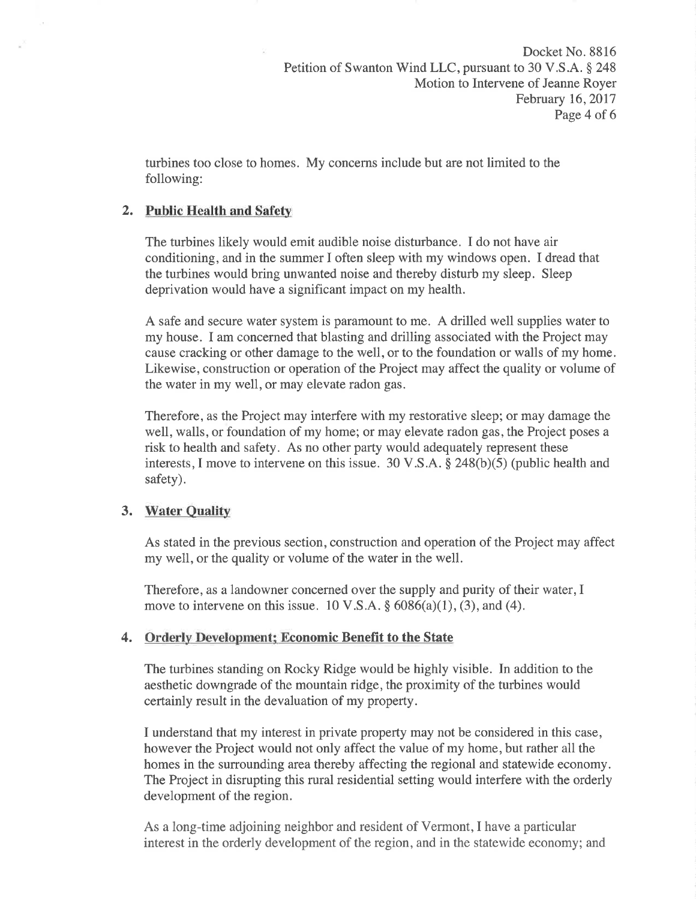turbines too close to homes. My concerns include but are not limited to the following:

## 2. Public Health and Safety

The turbines likely would emit audible noise disturbance. I do not have air conditioning, and in the summer I often sleep with my windows open. I dread that the turbines would bring unwanted noise and thereby disturb my sleep. Sleep deprivation would have a significant impact on my health.

A safe and secure water system is paramount to me. A drilled well supplies water to my house. I am concerned that blasting and drilling associated with the Project may cause cracking or other damage to the well, or to the foundation or walls of my home. Likewise, construction or operation of the Project may affect the quality or volume of the water in my well, or may elevate radon gas.

Therefore, as the Project may interfere with my restorative sleep; or may damage the well, walls, or foundation of my home; or may elevate radon gas, the Project poses a risk to health and safety. As no other party would adequately represent these interests, I move to intervene on this issue.  $30 \text{ V.S.A.}$  \$ 248(b)(5) (public health and safety).

## 3. Water Quality

As stated in the previous section, construction and operation of the Project may affect my well, or the quality or volume of the water in the well.

Therefore, as a landowner concerned over the supply and purity of their water, I move to intervene on this issue. 10 V.S.A.  $\S$  6086(a)(1), (3), and (4).

## 4. Orderly Development; Economic Benefït to the State

The turbines standing on Rocky Ridge would be highly visible. In addition to the aesthetic downgrade of the mountain ridge, the proximity of the turbines would certainly result in the devaluation of my property.

I understand that my interest in private property may not be considered in this case, however the Project would not only affect the value of my home, but rather all the homes in the surrounding area thereby affecting the regional and statewide economy. The Project in disrupting this rural residential setting would interfere with the orderly development of the region.

As a long-time adjoining neighbor and resident of Vermont, I have a particular interest in the orderly development of the region, and in the statewide economy; and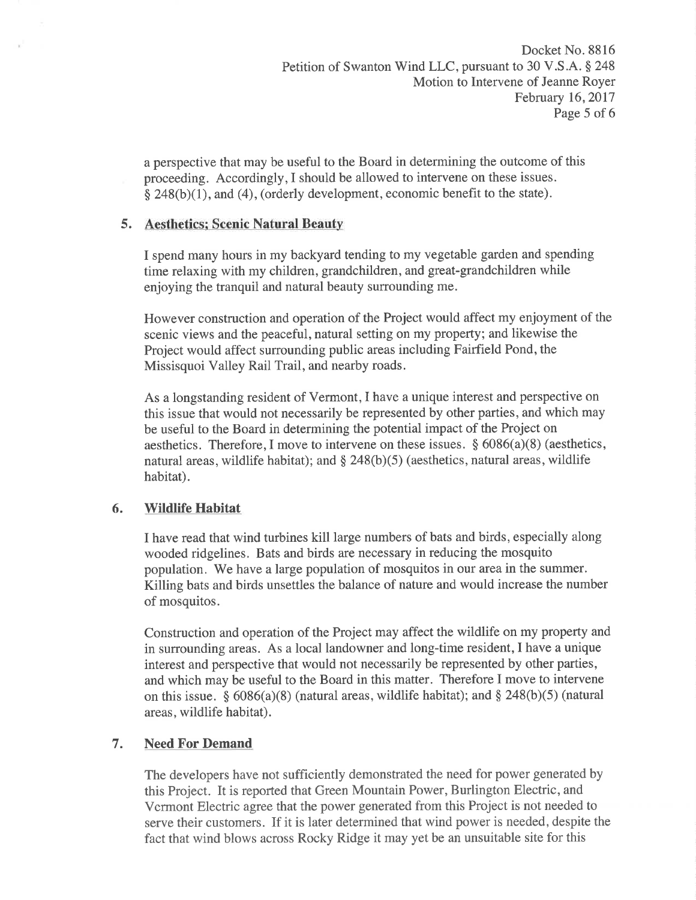a perspective that may be useful to the Board in determining the outcome of this proceeding. Accordingly,I should be allowed to intervene on these issues.  $§$  248(b)(1), and (4), (orderly development, economic benefit to the state).

## 5. Aesthetics: Scenic Natural Beauty

I spend many hours in my backyard tending to my vegetable garden and spending time relaxing with my children, grandchildren, and great-grandchildren while enjoying the tranquil and natural beauty surrounding me.

However construction and operation of the Project would affect my enjoyment of the scenic views and the peaceful, natural setting on my property; and likewise the Project would affect surrounding public areas including Fairfield Pond, the Missisquoi Valley Rail Trail, and nearby roads.

As a longstanding resident of Vermont, I have a unique interest and perspective on this issue that would not necessarily be represented by other parties, and which may be useful to the Board in determining the potential impact of the Project on aesthetics. Therefore, I move to intervene on these issues.  $§ 6086(a)(8)$  (aesthetics, natural areas, wildlife habitat); and  $\S$  248(b)(5) (aesthetics, natural areas, wildlife habitat).

# 6. Wildlife Habitat

I have read that wind turbines kill large numbers of bats and birds, especially along wooded ridgelines. Bats and birds are necessary in reducing the mosquito population. 'We have a large population of mosquitos in our area in the summer. Killing bats and birds unsettles the balance of nature and would increase the number of mosquitos.

Construction and operation of the Project may affect the wildlife on my property and in surrounding areas. As a local landowner and long-time resident,I have a unique interest and perspective that would not necessarily be represented by other parties, and which may be useful to the Board in this matter. Therefore I move to intervene on this issue. §  $6086(a)(8)$  (natural areas, wildlife habitat); and § 248(b)(5) (natural areas, wildlife habitat).

# 7. Need For Demand

The developers have not sufficiently demonstrated the need for power generated by this Project. It is reported that Green Mountain Power, Burlington Electric, and Vcrmont Electric agree that the power generated from this Project is not needed to serve their customers. If it is later determined that wind power is needed, despite the fact that wind blows across Rocky Ridge it may yet be an unsuitable site for this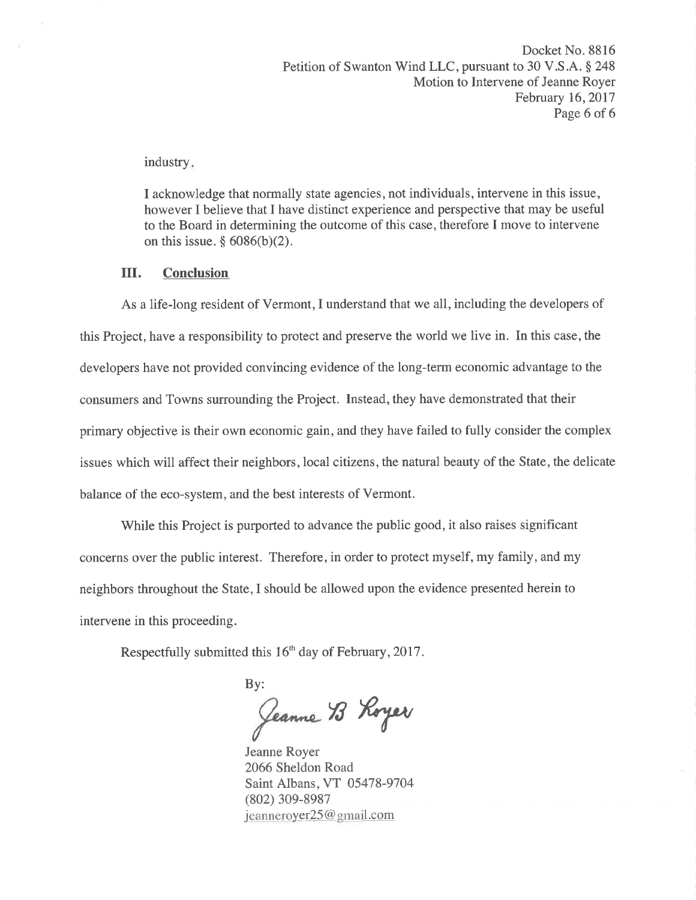industry

I acknowledge that normally state agencies, not individuals, intervene in this issue, however I believe that I have distinct experience and perspective that may be useful to the Board in determining the outcome of this case, therefore I move to intervene on this issue.  $§$  6086(b)(2).

### III. Conclusion

As a life-long resident of Vermont, I understand that we all, including the developers of this Project, have a responsibility to protect and preserve the world we live in. In this case, the developers have not provided convincing evidence of the long-term economic advantage to the consumers and Towns surrounding the Project. Instead, they have demonstrated that their primary objective is their own economic gain, and they have failed to fully consider the complex issues which will affect their neighbors, local citizens, the natural beauty of the State, the delicate balance of the eco-system, and the best interests of Vermont.

While this Project is purported to advance the public good, it also raises significant concerns over the public interest. Therefore, in order to protect myself, my family, and my neighbors throughout the State,I should be allowed upon the evidence presented herein to intervene in this proceeding.

Respectfully submitted this 16<sup>th</sup> day of February, 2017.

By:  $\lambda$ ry

Jeanne Royer 2066 Sheldon Road Saint Albans, VT 05478-9704 (802) 309-8987  $jeanneroyer25@gmail.com$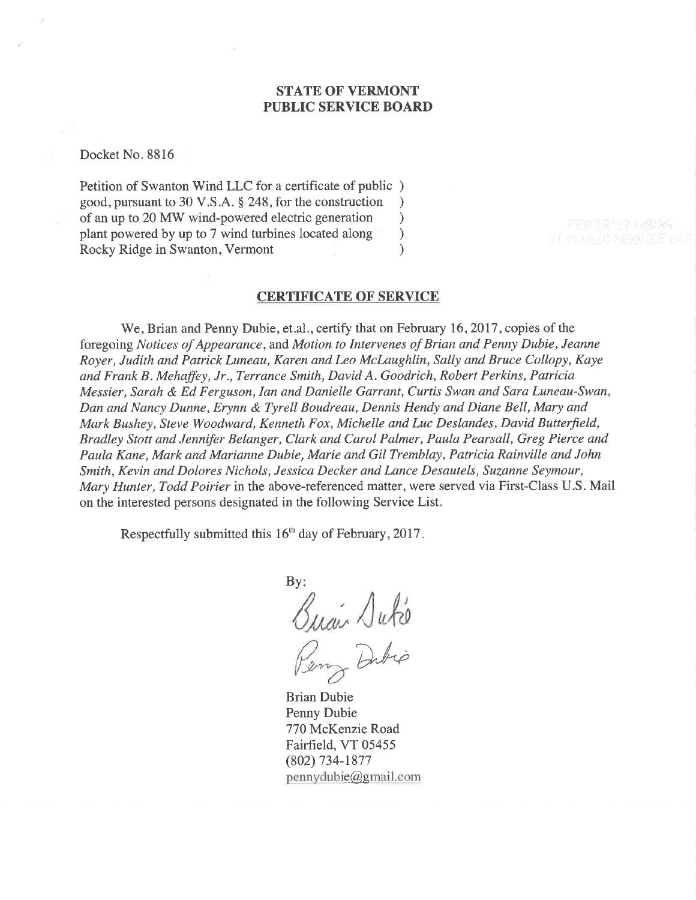### STATE OF VERMONT PUBLIC SERVICE BOARD

Docket No. 8816

Petition of Swanton Wind LLC for a certificate of public ) good, pursuant to 30 V.S.A. \$ 248, for the construction ) of an up to 20 MW wind-powered electric generation <br>plant powered by up to 7 wind turbines located along  $\sim$ plant powered by up to 7 wind turbines located along ) Rocky Ridge in Swanton, Vermont (1988)

#### CERTIFICATE OF SERVICE

We, Brian and Penny Dubie, et.al., certify that on February 16, 2017, copies of the foregoing Notices of Appearance, and Motion to Intervenes of Brian and Penny Dubie, Jeanne Royer, Judith and Patrick Luneau, Karen and Leo McLaughlin, Sally and Bruce Collopy, Kaye and Frank B. Mehaffey, Jr., Terrance Smith, David A. Goodrich, Robert Perkins, Patricia Messier, Sarah & Ed Ferguson, Ian and Danielle Garrant, Curtis Swan and Sara Luneau-Swan, Dan and Nancy Dunne, Erynn & Tyrell Boudreau, Dennis Hendy and Diane Bell, Møry and Mark Bushey, Steve Woodward, Kenneth Fox, Michelle and Luc Deslandes, David Butterfield, Bradley Stott and Jennifer Belanger, Clark and Carol Palmer, Paula Pearsall, Greg Pierce and Paula Kane, Mark and Marianne Dubie, Marie and Gil Tremblay, Patricia Rainville and John Smith, Kevin and Dolores Nichols, Jessica Decker and Lance Desautels, Suzanne Seymour, Mary Hunter, Todd Poirier in the above-referenced matter, were served via First-Class U.S. Mail on the interested persons designated in the following Service List.

Respectfully submitted this  $16<sup>th</sup>$  day of February, 2017.

 $By:$ Quan Dute Dibio

Brian Dubie Penny Dubie 770 McKenzie Road Fairfïeld, VT 05455 (802) 734-1877  $p$ ennydubie $@q$ gmail.com